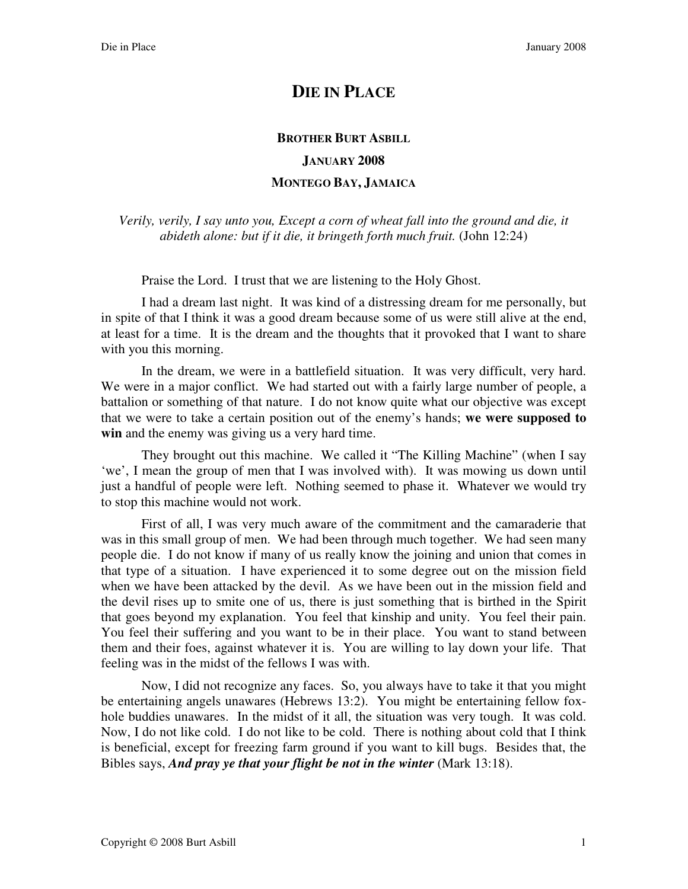## **DIE IN PLACE**

## **BROTHER BURT ASBILL JANUARY 2008 MONTEGO BAY, JAMAICA**

*Verily, verily, I say unto you, Except a corn of wheat fall into the ground and die, it abideth alone: but if it die, it bringeth forth much fruit.* (John 12:24)

Praise the Lord. I trust that we are listening to the Holy Ghost.

I had a dream last night. It was kind of a distressing dream for me personally, but in spite of that I think it was a good dream because some of us were still alive at the end, at least for a time. It is the dream and the thoughts that it provoked that I want to share with you this morning.

In the dream, we were in a battlefield situation. It was very difficult, very hard. We were in a major conflict. We had started out with a fairly large number of people, a battalion or something of that nature. I do not know quite what our objective was except that we were to take a certain position out of the enemy's hands; **we were supposed to win** and the enemy was giving us a very hard time.

They brought out this machine. We called it "The Killing Machine" (when I say 'we', I mean the group of men that I was involved with). It was mowing us down until just a handful of people were left. Nothing seemed to phase it. Whatever we would try to stop this machine would not work.

First of all, I was very much aware of the commitment and the camaraderie that was in this small group of men. We had been through much together. We had seen many people die. I do not know if many of us really know the joining and union that comes in that type of a situation. I have experienced it to some degree out on the mission field when we have been attacked by the devil. As we have been out in the mission field and the devil rises up to smite one of us, there is just something that is birthed in the Spirit that goes beyond my explanation. You feel that kinship and unity. You feel their pain. You feel their suffering and you want to be in their place. You want to stand between them and their foes, against whatever it is. You are willing to lay down your life. That feeling was in the midst of the fellows I was with.

Now, I did not recognize any faces. So, you always have to take it that you might be entertaining angels unawares (Hebrews 13:2). You might be entertaining fellow foxhole buddies unawares. In the midst of it all, the situation was very tough. It was cold. Now, I do not like cold. I do not like to be cold. There is nothing about cold that I think is beneficial, except for freezing farm ground if you want to kill bugs. Besides that, the Bibles says, *And pray ye that your flight be not in the winter* (Mark 13:18).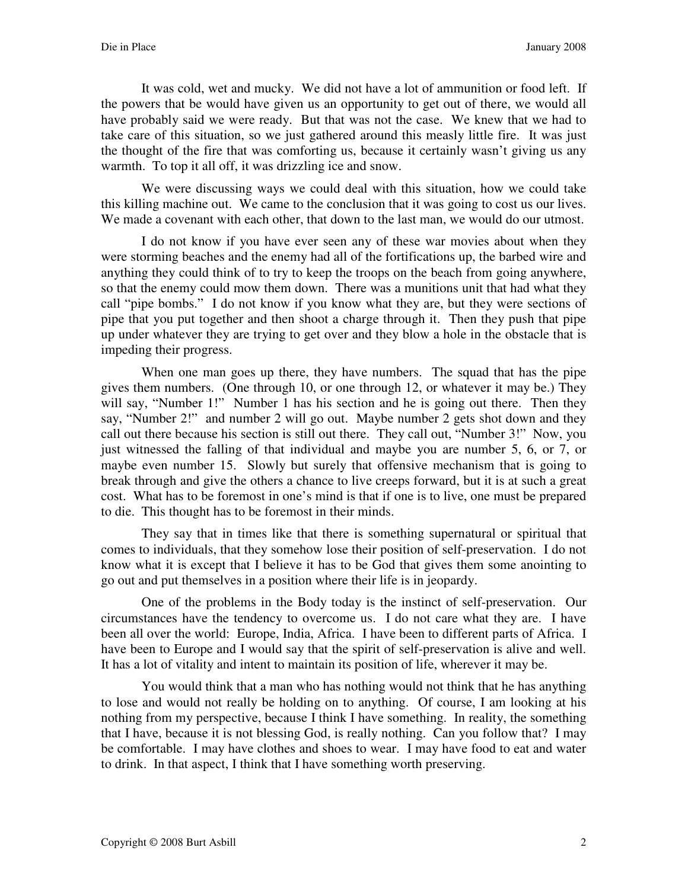It was cold, wet and mucky. We did not have a lot of ammunition or food left. If the powers that be would have given us an opportunity to get out of there, we would all have probably said we were ready. But that was not the case. We knew that we had to take care of this situation, so we just gathered around this measly little fire. It was just the thought of the fire that was comforting us, because it certainly wasn't giving us any warmth. To top it all off, it was drizzling ice and snow.

We were discussing ways we could deal with this situation, how we could take this killing machine out. We came to the conclusion that it was going to cost us our lives. We made a covenant with each other, that down to the last man, we would do our utmost.

I do not know if you have ever seen any of these war movies about when they were storming beaches and the enemy had all of the fortifications up, the barbed wire and anything they could think of to try to keep the troops on the beach from going anywhere, so that the enemy could mow them down. There was a munitions unit that had what they call "pipe bombs." I do not know if you know what they are, but they were sections of pipe that you put together and then shoot a charge through it. Then they push that pipe up under whatever they are trying to get over and they blow a hole in the obstacle that is impeding their progress.

When one man goes up there, they have numbers. The squad that has the pipe gives them numbers. (One through 10, or one through 12, or whatever it may be.) They will say, "Number 1!" Number 1 has his section and he is going out there. Then they say, "Number 2!" and number 2 will go out. Maybe number 2 gets shot down and they call out there because his section is still out there. They call out, "Number 3!" Now, you just witnessed the falling of that individual and maybe you are number 5, 6, or 7, or maybe even number 15. Slowly but surely that offensive mechanism that is going to break through and give the others a chance to live creeps forward, but it is at such a great cost. What has to be foremost in one's mind is that if one is to live, one must be prepared to die. This thought has to be foremost in their minds.

They say that in times like that there is something supernatural or spiritual that comes to individuals, that they somehow lose their position of self-preservation. I do not know what it is except that I believe it has to be God that gives them some anointing to go out and put themselves in a position where their life is in jeopardy.

One of the problems in the Body today is the instinct of self-preservation. Our circumstances have the tendency to overcome us. I do not care what they are. I have been all over the world: Europe, India, Africa. I have been to different parts of Africa. I have been to Europe and I would say that the spirit of self-preservation is alive and well. It has a lot of vitality and intent to maintain its position of life, wherever it may be.

You would think that a man who has nothing would not think that he has anything to lose and would not really be holding on to anything. Of course, I am looking at his nothing from my perspective, because I think I have something. In reality, the something that I have, because it is not blessing God, is really nothing. Can you follow that? I may be comfortable. I may have clothes and shoes to wear. I may have food to eat and water to drink. In that aspect, I think that I have something worth preserving.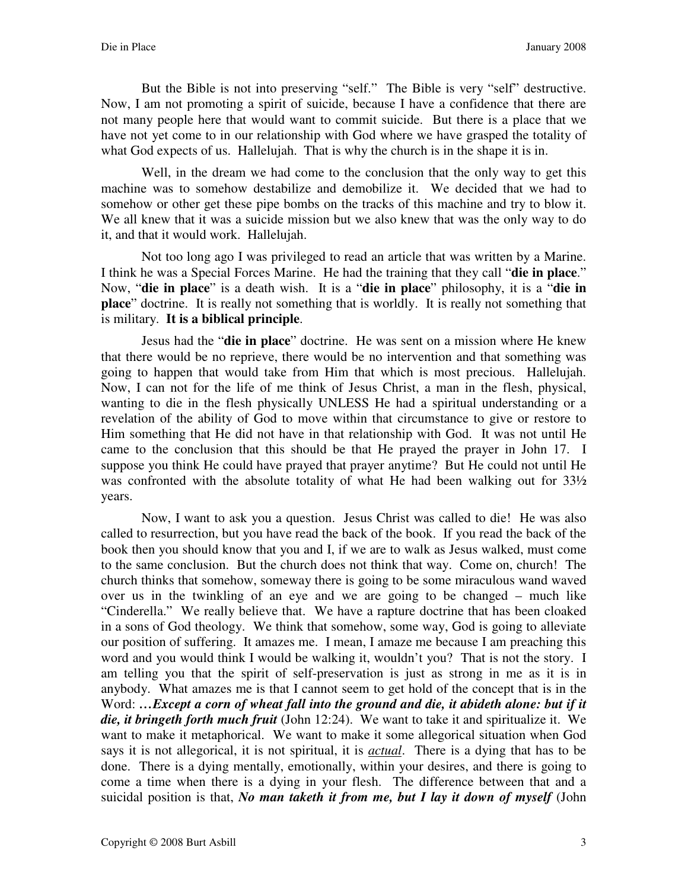But the Bible is not into preserving "self." The Bible is very "self" destructive. Now, I am not promoting a spirit of suicide, because I have a confidence that there are not many people here that would want to commit suicide. But there is a place that we have not yet come to in our relationship with God where we have grasped the totality of what God expects of us. Hallelujah. That is why the church is in the shape it is in.

Well, in the dream we had come to the conclusion that the only way to get this machine was to somehow destabilize and demobilize it. We decided that we had to somehow or other get these pipe bombs on the tracks of this machine and try to blow it. We all knew that it was a suicide mission but we also knew that was the only way to do it, and that it would work. Hallelujah.

Not too long ago I was privileged to read an article that was written by a Marine. I think he was a Special Forces Marine. He had the training that they call "**die in place**." Now, "**die in place**" is a death wish. It is a "**die in place**" philosophy, it is a "**die in place**" doctrine. It is really not something that is worldly. It is really not something that is military. **It is a biblical principle**.

Jesus had the "**die in place**" doctrine. He was sent on a mission where He knew that there would be no reprieve, there would be no intervention and that something was going to happen that would take from Him that which is most precious. Hallelujah. Now, I can not for the life of me think of Jesus Christ, a man in the flesh, physical, wanting to die in the flesh physically UNLESS He had a spiritual understanding or a revelation of the ability of God to move within that circumstance to give or restore to Him something that He did not have in that relationship with God. It was not until He came to the conclusion that this should be that He prayed the prayer in John 17. I suppose you think He could have prayed that prayer anytime? But He could not until He was confronted with the absolute totality of what He had been walking out for 33½ years.

Now, I want to ask you a question. Jesus Christ was called to die! He was also called to resurrection, but you have read the back of the book. If you read the back of the book then you should know that you and I, if we are to walk as Jesus walked, must come to the same conclusion. But the church does not think that way. Come on, church! The church thinks that somehow, someway there is going to be some miraculous wand waved over us in the twinkling of an eye and we are going to be changed – much like "Cinderella." We really believe that. We have a rapture doctrine that has been cloaked in a sons of God theology. We think that somehow, some way, God is going to alleviate our position of suffering. It amazes me. I mean, I amaze me because I am preaching this word and you would think I would be walking it, wouldn't you? That is not the story. I am telling you that the spirit of self-preservation is just as strong in me as it is in anybody. What amazes me is that I cannot seem to get hold of the concept that is in the Word: ...Except a corn of wheat fall into the ground and die, it abideth alone: but if it *die, it bringeth forth much fruit* (John 12:24). We want to take it and spiritualize it. We want to make it metaphorical. We want to make it some allegorical situation when God says it is not allegorical, it is not spiritual, it is *actual*. There is a dying that has to be done. There is a dying mentally, emotionally, within your desires, and there is going to come a time when there is a dying in your flesh. The difference between that and a suicidal position is that, *No man taketh it from me, but I lay it down of myself* (John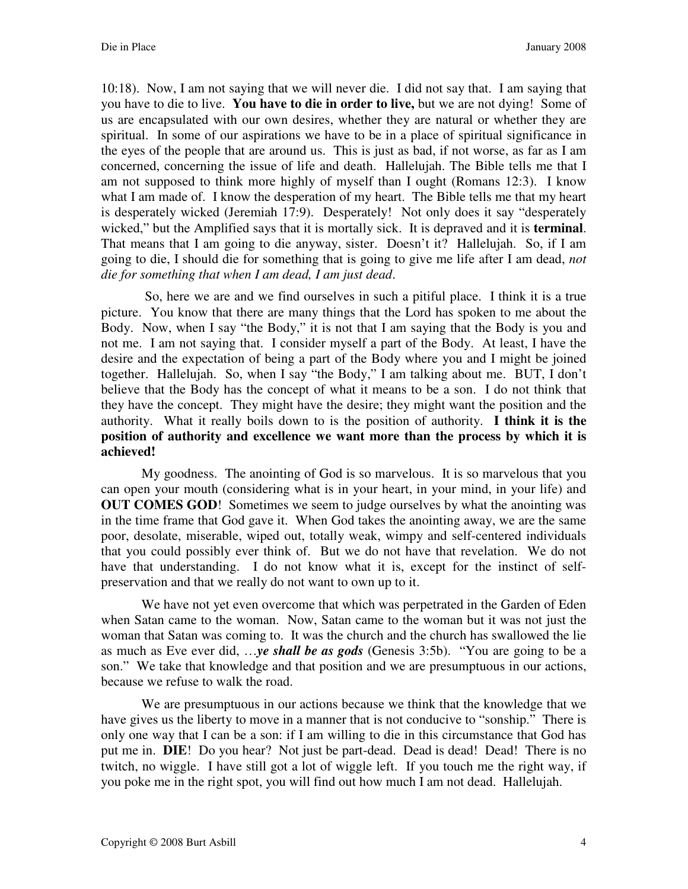10:18). Now, I am not saying that we will never die. I did not say that. I am saying that you have to die to live. **You have to die in order to live,** but we are not dying! Some of us are encapsulated with our own desires, whether they are natural or whether they are spiritual. In some of our aspirations we have to be in a place of spiritual significance in the eyes of the people that are around us. This is just as bad, if not worse, as far as I am concerned, concerning the issue of life and death. Hallelujah. The Bible tells me that I am not supposed to think more highly of myself than I ought (Romans 12:3). I know what I am made of. I know the desperation of my heart. The Bible tells me that my heart is desperately wicked (Jeremiah 17:9). Desperately! Not only does it say "desperately wicked," but the Amplified says that it is mortally sick. It is depraved and it is **terminal**. That means that I am going to die anyway, sister. Doesn't it? Hallelujah. So, if I am going to die, I should die for something that is going to give me life after I am dead, *not die for something that when I am dead, I am just dead*.

 So, here we are and we find ourselves in such a pitiful place. I think it is a true picture. You know that there are many things that the Lord has spoken to me about the Body. Now, when I say "the Body," it is not that I am saying that the Body is you and not me. I am not saying that. I consider myself a part of the Body. At least, I have the desire and the expectation of being a part of the Body where you and I might be joined together. Hallelujah. So, when I say "the Body," I am talking about me. BUT, I don't believe that the Body has the concept of what it means to be a son. I do not think that they have the concept. They might have the desire; they might want the position and the authority. What it really boils down to is the position of authority. **I think it is the position of authority and excellence we want more than the process by which it is achieved!** 

My goodness. The anointing of God is so marvelous. It is so marvelous that you can open your mouth (considering what is in your heart, in your mind, in your life) and **OUT COMES GOD!** Sometimes we seem to judge ourselves by what the anointing was in the time frame that God gave it. When God takes the anointing away, we are the same poor, desolate, miserable, wiped out, totally weak, wimpy and self-centered individuals that you could possibly ever think of. But we do not have that revelation. We do not have that understanding. I do not know what it is, except for the instinct of selfpreservation and that we really do not want to own up to it.

We have not yet even overcome that which was perpetrated in the Garden of Eden when Satan came to the woman. Now, Satan came to the woman but it was not just the woman that Satan was coming to. It was the church and the church has swallowed the lie as much as Eve ever did, …*ye shall be as gods* (Genesis 3:5b). "You are going to be a son." We take that knowledge and that position and we are presumptuous in our actions, because we refuse to walk the road.

We are presumptuous in our actions because we think that the knowledge that we have gives us the liberty to move in a manner that is not conducive to "sonship." There is only one way that I can be a son: if I am willing to die in this circumstance that God has put me in. **DIE**! Do you hear? Not just be part-dead. Dead is dead! Dead! There is no twitch, no wiggle. I have still got a lot of wiggle left. If you touch me the right way, if you poke me in the right spot, you will find out how much I am not dead. Hallelujah.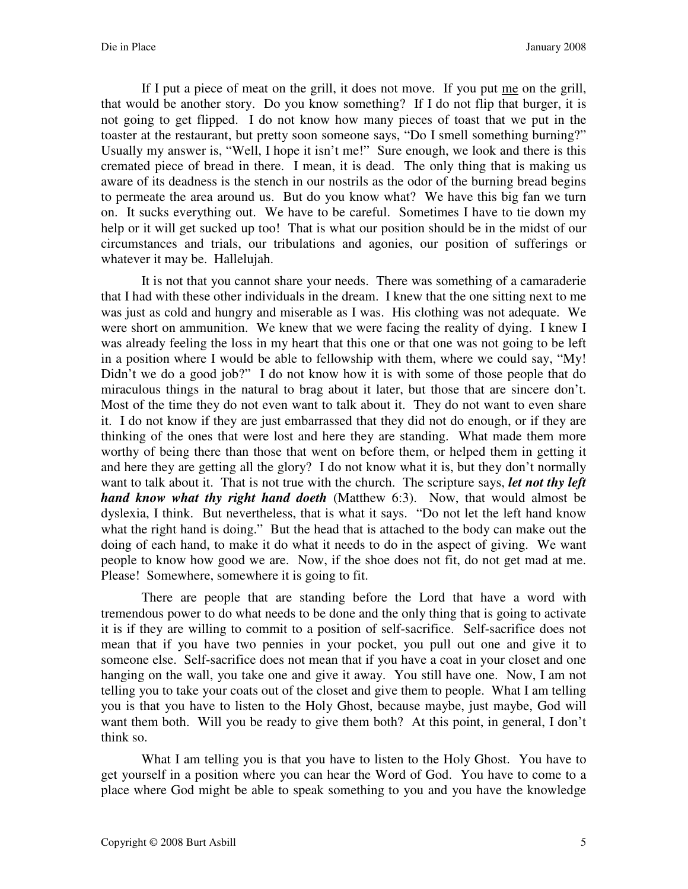If I put a piece of meat on the grill, it does not move. If you put me on the grill, that would be another story. Do you know something? If I do not flip that burger, it is not going to get flipped. I do not know how many pieces of toast that we put in the toaster at the restaurant, but pretty soon someone says, "Do I smell something burning?" Usually my answer is, "Well, I hope it isn't me!" Sure enough, we look and there is this cremated piece of bread in there. I mean, it is dead. The only thing that is making us aware of its deadness is the stench in our nostrils as the odor of the burning bread begins to permeate the area around us. But do you know what? We have this big fan we turn on. It sucks everything out. We have to be careful. Sometimes I have to tie down my help or it will get sucked up too! That is what our position should be in the midst of our circumstances and trials, our tribulations and agonies, our position of sufferings or whatever it may be. Hallelujah.

It is not that you cannot share your needs. There was something of a camaraderie that I had with these other individuals in the dream. I knew that the one sitting next to me was just as cold and hungry and miserable as I was. His clothing was not adequate. We were short on ammunition. We knew that we were facing the reality of dying. I knew I was already feeling the loss in my heart that this one or that one was not going to be left in a position where I would be able to fellowship with them, where we could say, "My! Didn't we do a good job?" I do not know how it is with some of those people that do miraculous things in the natural to brag about it later, but those that are sincere don't. Most of the time they do not even want to talk about it. They do not want to even share it. I do not know if they are just embarrassed that they did not do enough, or if they are thinking of the ones that were lost and here they are standing. What made them more worthy of being there than those that went on before them, or helped them in getting it and here they are getting all the glory? I do not know what it is, but they don't normally want to talk about it. That is not true with the church. The scripture says, *let not thy left hand know what thy right hand doeth* (Matthew 6:3). Now, that would almost be dyslexia, I think. But nevertheless, that is what it says. "Do not let the left hand know what the right hand is doing." But the head that is attached to the body can make out the doing of each hand, to make it do what it needs to do in the aspect of giving. We want people to know how good we are. Now, if the shoe does not fit, do not get mad at me. Please! Somewhere, somewhere it is going to fit.

There are people that are standing before the Lord that have a word with tremendous power to do what needs to be done and the only thing that is going to activate it is if they are willing to commit to a position of self-sacrifice. Self-sacrifice does not mean that if you have two pennies in your pocket, you pull out one and give it to someone else. Self-sacrifice does not mean that if you have a coat in your closet and one hanging on the wall, you take one and give it away. You still have one. Now, I am not telling you to take your coats out of the closet and give them to people. What I am telling you is that you have to listen to the Holy Ghost, because maybe, just maybe, God will want them both. Will you be ready to give them both? At this point, in general, I don't think so.

What I am telling you is that you have to listen to the Holy Ghost. You have to get yourself in a position where you can hear the Word of God. You have to come to a place where God might be able to speak something to you and you have the knowledge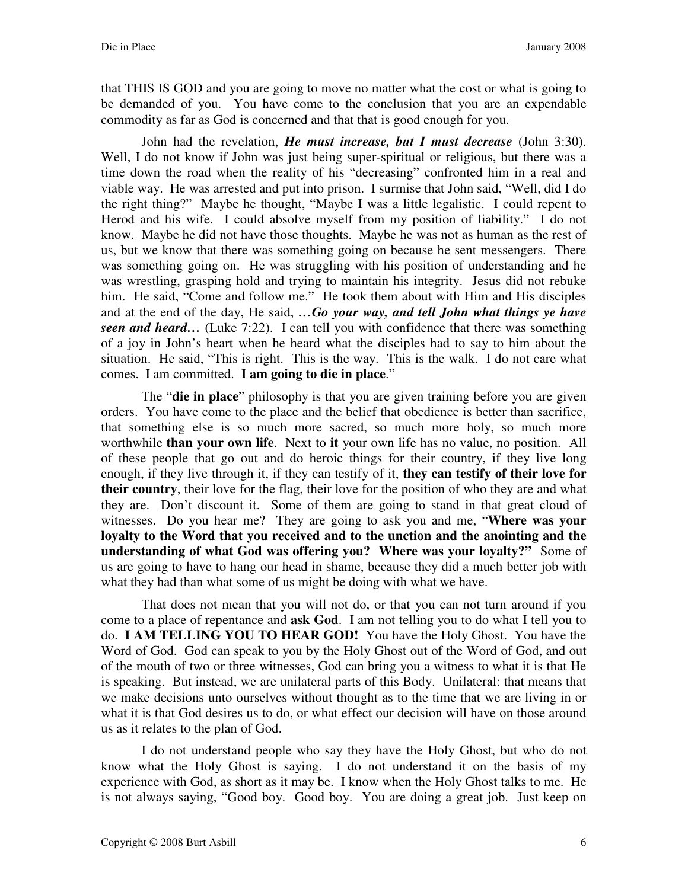that THIS IS GOD and you are going to move no matter what the cost or what is going to be demanded of you. You have come to the conclusion that you are an expendable commodity as far as God is concerned and that that is good enough for you.

John had the revelation, *He must increase, but I must decrease* (John 3:30). Well, I do not know if John was just being super-spiritual or religious, but there was a time down the road when the reality of his "decreasing" confronted him in a real and viable way. He was arrested and put into prison. I surmise that John said, "Well, did I do the right thing?" Maybe he thought, "Maybe I was a little legalistic. I could repent to Herod and his wife. I could absolve myself from my position of liability." I do not know. Maybe he did not have those thoughts. Maybe he was not as human as the rest of us, but we know that there was something going on because he sent messengers. There was something going on. He was struggling with his position of understanding and he was wrestling, grasping hold and trying to maintain his integrity. Jesus did not rebuke him. He said, "Come and follow me." He took them about with Him and His disciples and at the end of the day, He said, *…Go your way, and tell John what things ye have seen and heard*... (Luke 7:22). I can tell you with confidence that there was something of a joy in John's heart when he heard what the disciples had to say to him about the situation. He said, "This is right. This is the way. This is the walk. I do not care what comes. I am committed. **I am going to die in place**."

The "**die in place**" philosophy is that you are given training before you are given orders. You have come to the place and the belief that obedience is better than sacrifice, that something else is so much more sacred, so much more holy, so much more worthwhile **than your own life**. Next to **it** your own life has no value, no position. All of these people that go out and do heroic things for their country, if they live long enough, if they live through it, if they can testify of it, **they can testify of their love for their country**, their love for the flag, their love for the position of who they are and what they are. Don't discount it. Some of them are going to stand in that great cloud of witnesses. Do you hear me? They are going to ask you and me, "**Where was your loyalty to the Word that you received and to the unction and the anointing and the understanding of what God was offering you? Where was your loyalty?"** Some of us are going to have to hang our head in shame, because they did a much better job with what they had than what some of us might be doing with what we have.

That does not mean that you will not do, or that you can not turn around if you come to a place of repentance and **ask God**. I am not telling you to do what I tell you to do. **I AM TELLING YOU TO HEAR GOD!** You have the Holy Ghost. You have the Word of God. God can speak to you by the Holy Ghost out of the Word of God, and out of the mouth of two or three witnesses, God can bring you a witness to what it is that He is speaking. But instead, we are unilateral parts of this Body. Unilateral: that means that we make decisions unto ourselves without thought as to the time that we are living in or what it is that God desires us to do, or what effect our decision will have on those around us as it relates to the plan of God.

I do not understand people who say they have the Holy Ghost, but who do not know what the Holy Ghost is saying. I do not understand it on the basis of my experience with God, as short as it may be. I know when the Holy Ghost talks to me. He is not always saying, "Good boy. Good boy. You are doing a great job. Just keep on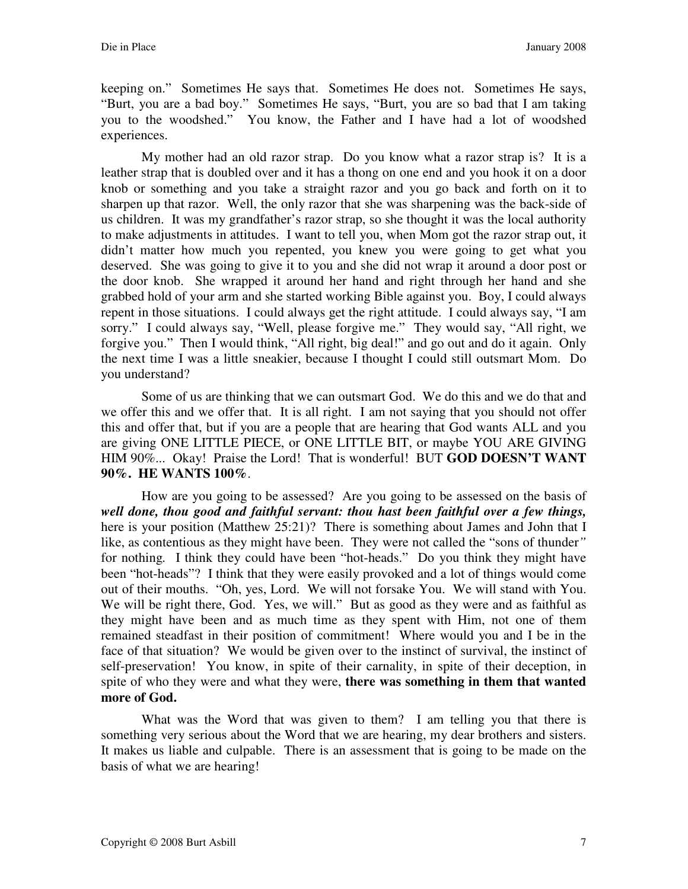keeping on." Sometimes He says that. Sometimes He does not. Sometimes He says, "Burt, you are a bad boy." Sometimes He says, "Burt, you are so bad that I am taking you to the woodshed." You know, the Father and I have had a lot of woodshed experiences.

My mother had an old razor strap. Do you know what a razor strap is? It is a leather strap that is doubled over and it has a thong on one end and you hook it on a door knob or something and you take a straight razor and you go back and forth on it to sharpen up that razor. Well, the only razor that she was sharpening was the back-side of us children. It was my grandfather's razor strap, so she thought it was the local authority to make adjustments in attitudes. I want to tell you, when Mom got the razor strap out, it didn't matter how much you repented, you knew you were going to get what you deserved. She was going to give it to you and she did not wrap it around a door post or the door knob. She wrapped it around her hand and right through her hand and she grabbed hold of your arm and she started working Bible against you. Boy, I could always repent in those situations. I could always get the right attitude. I could always say, "I am sorry." I could always say, "Well, please forgive me." They would say, "All right, we forgive you." Then I would think, "All right, big deal!" and go out and do it again. Only the next time I was a little sneakier, because I thought I could still outsmart Mom. Do you understand?

Some of us are thinking that we can outsmart God. We do this and we do that and we offer this and we offer that. It is all right. I am not saying that you should not offer this and offer that, but if you are a people that are hearing that God wants ALL and you are giving ONE LITTLE PIECE, or ONE LITTLE BIT, or maybe YOU ARE GIVING HIM 90%... Okay! Praise the Lord! That is wonderful! BUT **GOD DOESN'T WANT 90%. HE WANTS 100%**.

How are you going to be assessed? Are you going to be assessed on the basis of *well done, thou good and faithful servant: thou hast been faithful over a few things,* here is your position (Matthew 25:21)? There is something about James and John that I like, as contentious as they might have been. They were not called the "sons of thunder*"*  for nothing*.* I think they could have been "hot-heads." Do you think they might have been "hot-heads"? I think that they were easily provoked and a lot of things would come out of their mouths. "Oh, yes, Lord. We will not forsake You. We will stand with You. We will be right there, God. Yes, we will." But as good as they were and as faithful as they might have been and as much time as they spent with Him, not one of them remained steadfast in their position of commitment! Where would you and I be in the face of that situation? We would be given over to the instinct of survival, the instinct of self-preservation! You know, in spite of their carnality, in spite of their deception, in spite of who they were and what they were, **there was something in them that wanted more of God.** 

What was the Word that was given to them? I am telling you that there is something very serious about the Word that we are hearing, my dear brothers and sisters. It makes us liable and culpable. There is an assessment that is going to be made on the basis of what we are hearing!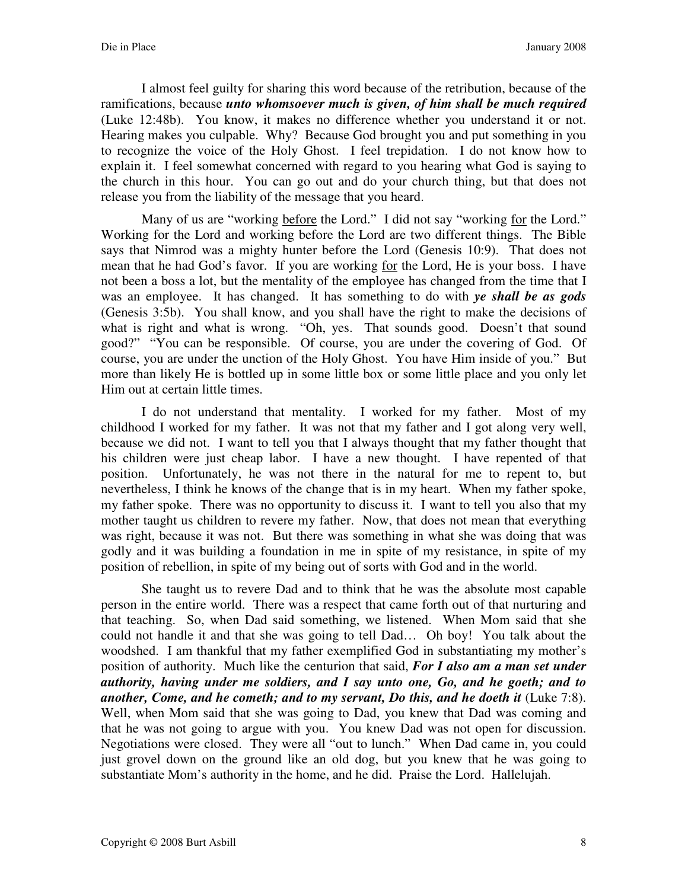I almost feel guilty for sharing this word because of the retribution, because of the ramifications, because *unto whomsoever much is given, of him shall be much required* (Luke 12:48b). You know, it makes no difference whether you understand it or not. Hearing makes you culpable. Why? Because God brought you and put something in you to recognize the voice of the Holy Ghost. I feel trepidation. I do not know how to explain it. I feel somewhat concerned with regard to you hearing what God is saying to the church in this hour. You can go out and do your church thing, but that does not release you from the liability of the message that you heard.

Many of us are "working before the Lord." I did not say "working for the Lord." Working for the Lord and working before the Lord are two different things. The Bible says that Nimrod was a mighty hunter before the Lord (Genesis 10:9). That does not mean that he had God's favor. If you are working for the Lord, He is your boss. I have not been a boss a lot, but the mentality of the employee has changed from the time that I was an employee. It has changed. It has something to do with *ye shall be as gods* (Genesis 3:5b). You shall know, and you shall have the right to make the decisions of what is right and what is wrong. "Oh, yes. That sounds good. Doesn't that sound good?" "You can be responsible. Of course, you are under the covering of God. Of course, you are under the unction of the Holy Ghost. You have Him inside of you." But more than likely He is bottled up in some little box or some little place and you only let Him out at certain little times.

I do not understand that mentality. I worked for my father. Most of my childhood I worked for my father. It was not that my father and I got along very well, because we did not. I want to tell you that I always thought that my father thought that his children were just cheap labor. I have a new thought. I have repented of that position. Unfortunately, he was not there in the natural for me to repent to, but nevertheless, I think he knows of the change that is in my heart. When my father spoke, my father spoke. There was no opportunity to discuss it. I want to tell you also that my mother taught us children to revere my father. Now, that does not mean that everything was right, because it was not. But there was something in what she was doing that was godly and it was building a foundation in me in spite of my resistance, in spite of my position of rebellion, in spite of my being out of sorts with God and in the world.

She taught us to revere Dad and to think that he was the absolute most capable person in the entire world. There was a respect that came forth out of that nurturing and that teaching. So, when Dad said something, we listened. When Mom said that she could not handle it and that she was going to tell Dad… Oh boy! You talk about the woodshed. I am thankful that my father exemplified God in substantiating my mother's position of authority. Much like the centurion that said, *For I also am a man set under authority, having under me soldiers, and I say unto one, Go, and he goeth; and to another, Come, and he cometh; and to my servant, Do this, and he doeth it* (Luke 7:8). Well, when Mom said that she was going to Dad, you knew that Dad was coming and that he was not going to argue with you. You knew Dad was not open for discussion. Negotiations were closed. They were all "out to lunch." When Dad came in, you could just grovel down on the ground like an old dog, but you knew that he was going to substantiate Mom's authority in the home, and he did. Praise the Lord. Hallelujah.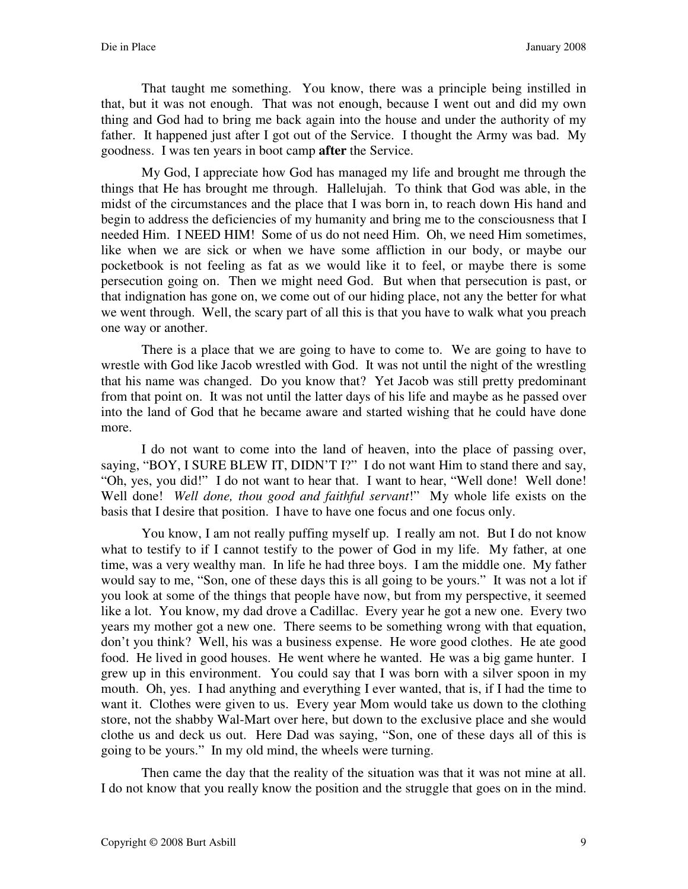That taught me something. You know, there was a principle being instilled in that, but it was not enough. That was not enough, because I went out and did my own thing and God had to bring me back again into the house and under the authority of my father. It happened just after I got out of the Service. I thought the Army was bad. My goodness. I was ten years in boot camp **after** the Service.

My God, I appreciate how God has managed my life and brought me through the things that He has brought me through. Hallelujah. To think that God was able, in the midst of the circumstances and the place that I was born in, to reach down His hand and begin to address the deficiencies of my humanity and bring me to the consciousness that I needed Him. I NEED HIM! Some of us do not need Him. Oh, we need Him sometimes, like when we are sick or when we have some affliction in our body, or maybe our pocketbook is not feeling as fat as we would like it to feel, or maybe there is some persecution going on. Then we might need God. But when that persecution is past, or that indignation has gone on, we come out of our hiding place, not any the better for what we went through. Well, the scary part of all this is that you have to walk what you preach one way or another.

There is a place that we are going to have to come to. We are going to have to wrestle with God like Jacob wrestled with God. It was not until the night of the wrestling that his name was changed. Do you know that? Yet Jacob was still pretty predominant from that point on. It was not until the latter days of his life and maybe as he passed over into the land of God that he became aware and started wishing that he could have done more.

I do not want to come into the land of heaven, into the place of passing over, saying, "BOY, I SURE BLEW IT, DIDN'T I?" I do not want Him to stand there and say, "Oh, yes, you did!" I do not want to hear that. I want to hear, "Well done! Well done! Well done! *Well done, thou good and faithful servant*!" My whole life exists on the basis that I desire that position. I have to have one focus and one focus only.

You know, I am not really puffing myself up. I really am not. But I do not know what to testify to if I cannot testify to the power of God in my life. My father, at one time, was a very wealthy man. In life he had three boys. I am the middle one. My father would say to me, "Son, one of these days this is all going to be yours." It was not a lot if you look at some of the things that people have now, but from my perspective, it seemed like a lot. You know, my dad drove a Cadillac. Every year he got a new one. Every two years my mother got a new one. There seems to be something wrong with that equation, don't you think? Well, his was a business expense. He wore good clothes. He ate good food. He lived in good houses. He went where he wanted. He was a big game hunter. I grew up in this environment. You could say that I was born with a silver spoon in my mouth. Oh, yes. I had anything and everything I ever wanted, that is, if I had the time to want it. Clothes were given to us. Every year Mom would take us down to the clothing store, not the shabby Wal-Mart over here, but down to the exclusive place and she would clothe us and deck us out. Here Dad was saying, "Son, one of these days all of this is going to be yours." In my old mind, the wheels were turning.

Then came the day that the reality of the situation was that it was not mine at all. I do not know that you really know the position and the struggle that goes on in the mind.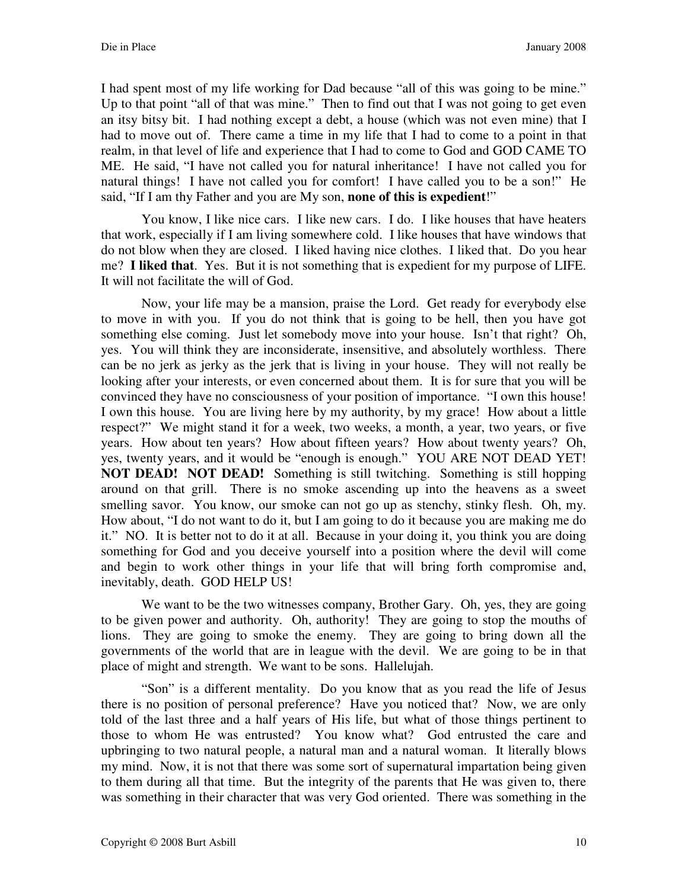I had spent most of my life working for Dad because "all of this was going to be mine." Up to that point "all of that was mine." Then to find out that I was not going to get even an itsy bitsy bit. I had nothing except a debt, a house (which was not even mine) that I had to move out of. There came a time in my life that I had to come to a point in that realm, in that level of life and experience that I had to come to God and GOD CAME TO ME. He said, "I have not called you for natural inheritance! I have not called you for natural things! I have not called you for comfort! I have called you to be a son!" He said, "If I am thy Father and you are My son, **none of this is expedient**!"

You know, I like nice cars. I like new cars. I do. I like houses that have heaters that work, especially if I am living somewhere cold. I like houses that have windows that do not blow when they are closed. I liked having nice clothes. I liked that. Do you hear me? **I liked that**. Yes. But it is not something that is expedient for my purpose of LIFE. It will not facilitate the will of God.

Now, your life may be a mansion, praise the Lord. Get ready for everybody else to move in with you. If you do not think that is going to be hell, then you have got something else coming. Just let somebody move into your house. Isn't that right? Oh, yes. You will think they are inconsiderate, insensitive, and absolutely worthless. There can be no jerk as jerky as the jerk that is living in your house. They will not really be looking after your interests, or even concerned about them. It is for sure that you will be convinced they have no consciousness of your position of importance. "I own this house! I own this house. You are living here by my authority, by my grace! How about a little respect?" We might stand it for a week, two weeks, a month, a year, two years, or five years. How about ten years? How about fifteen years? How about twenty years? Oh, yes, twenty years, and it would be "enough is enough." YOU ARE NOT DEAD YET! **NOT DEAD! NOT DEAD!** Something is still twitching. Something is still hopping around on that grill. There is no smoke ascending up into the heavens as a sweet smelling savor. You know, our smoke can not go up as stenchy, stinky flesh. Oh, my. How about, "I do not want to do it, but I am going to do it because you are making me do it." NO. It is better not to do it at all. Because in your doing it, you think you are doing something for God and you deceive yourself into a position where the devil will come and begin to work other things in your life that will bring forth compromise and, inevitably, death. GOD HELP US!

We want to be the two witnesses company, Brother Gary. Oh, yes, they are going to be given power and authority. Oh, authority! They are going to stop the mouths of lions. They are going to smoke the enemy. They are going to bring down all the governments of the world that are in league with the devil. We are going to be in that place of might and strength. We want to be sons. Hallelujah.

"Son" is a different mentality. Do you know that as you read the life of Jesus there is no position of personal preference? Have you noticed that? Now, we are only told of the last three and a half years of His life, but what of those things pertinent to those to whom He was entrusted? You know what? God entrusted the care and upbringing to two natural people, a natural man and a natural woman. It literally blows my mind. Now, it is not that there was some sort of supernatural impartation being given to them during all that time. But the integrity of the parents that He was given to, there was something in their character that was very God oriented. There was something in the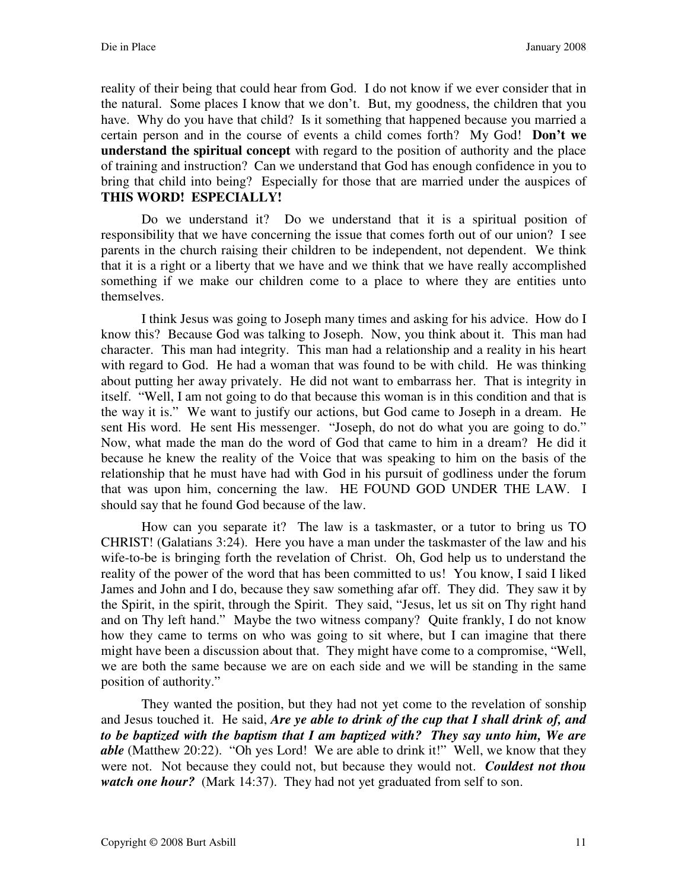reality of their being that could hear from God. I do not know if we ever consider that in the natural. Some places I know that we don't. But, my goodness, the children that you have. Why do you have that child? Is it something that happened because you married a certain person and in the course of events a child comes forth? My God! **Don't we understand the spiritual concept** with regard to the position of authority and the place of training and instruction? Can we understand that God has enough confidence in you to bring that child into being? Especially for those that are married under the auspices of **THIS WORD! ESPECIALLY!** 

Do we understand it? Do we understand that it is a spiritual position of responsibility that we have concerning the issue that comes forth out of our union? I see parents in the church raising their children to be independent, not dependent. We think that it is a right or a liberty that we have and we think that we have really accomplished something if we make our children come to a place to where they are entities unto themselves.

I think Jesus was going to Joseph many times and asking for his advice. How do I know this? Because God was talking to Joseph. Now, you think about it. This man had character. This man had integrity. This man had a relationship and a reality in his heart with regard to God. He had a woman that was found to be with child. He was thinking about putting her away privately. He did not want to embarrass her. That is integrity in itself. "Well, I am not going to do that because this woman is in this condition and that is the way it is." We want to justify our actions, but God came to Joseph in a dream. He sent His word. He sent His messenger. "Joseph, do not do what you are going to do." Now, what made the man do the word of God that came to him in a dream? He did it because he knew the reality of the Voice that was speaking to him on the basis of the relationship that he must have had with God in his pursuit of godliness under the forum that was upon him, concerning the law. HE FOUND GOD UNDER THE LAW. I should say that he found God because of the law.

How can you separate it? The law is a taskmaster, or a tutor to bring us TO CHRIST! (Galatians 3:24). Here you have a man under the taskmaster of the law and his wife-to-be is bringing forth the revelation of Christ. Oh, God help us to understand the reality of the power of the word that has been committed to us! You know, I said I liked James and John and I do, because they saw something afar off. They did. They saw it by the Spirit, in the spirit, through the Spirit. They said, "Jesus, let us sit on Thy right hand and on Thy left hand." Maybe the two witness company? Quite frankly, I do not know how they came to terms on who was going to sit where, but I can imagine that there might have been a discussion about that. They might have come to a compromise, "Well, we are both the same because we are on each side and we will be standing in the same position of authority."

They wanted the position, but they had not yet come to the revelation of sonship and Jesus touched it. He said, *Are ye able to drink of the cup that I shall drink of, and to be baptized with the baptism that I am baptized with? They say unto him, We are able* (Matthew 20:22). "Oh yes Lord! We are able to drink it!" Well, we know that they were not. Not because they could not, but because they would not. *Couldest not thou watch one hour?* (Mark 14:37). They had not yet graduated from self to son.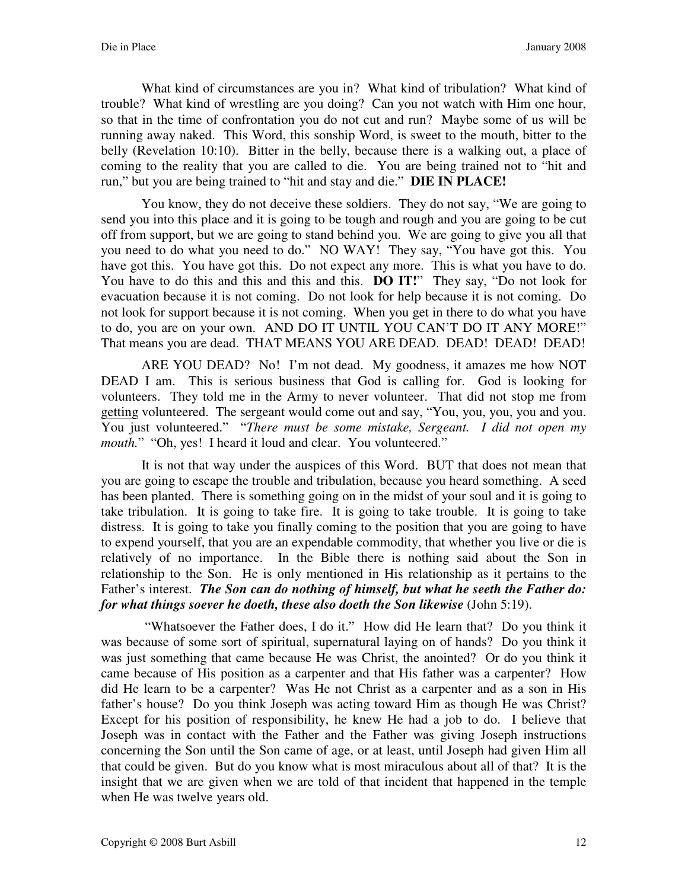What kind of circumstances are you in? What kind of tribulation? What kind of trouble? What kind of wrestling are you doing? Can you not watch with Him one hour, so that in the time of confrontation you do not cut and run? Maybe some of us will be running away naked. This Word, this sonship Word, is sweet to the mouth, bitter to the belly (Revelation 10:10). Bitter in the belly, because there is a walking out, a place of coming to the reality that you are called to die. You are being trained not to "hit and run," but you are being trained to "hit and stay and die." **DIE IN PLACE!** 

You know, they do not deceive these soldiers. They do not say, "We are going to send you into this place and it is going to be tough and rough and you are going to be cut off from support, but we are going to stand behind you. We are going to give you all that you need to do what you need to do." NO WAY! They say, "You have got this. You have got this. You have got this. Do not expect any more. This is what you have to do. You have to do this and this and this and this. **DO IT!**" They say, "Do not look for evacuation because it is not coming. Do not look for help because it is not coming. Do not look for support because it is not coming. When you get in there to do what you have to do, you are on your own. AND DO IT UNTIL YOU CAN'T DO IT ANY MORE!" That means you are dead. THAT MEANS YOU ARE DEAD. DEAD! DEAD! DEAD!

ARE YOU DEAD? No! I'm not dead. My goodness, it amazes me how NOT DEAD I am. This is serious business that God is calling for. God is looking for volunteers. They told me in the Army to never volunteer. That did not stop me from getting volunteered. The sergeant would come out and say, "You, you, you, you and you. You just volunteered." "*There must be some mistake, Sergeant. I did not open my mouth.*" "Oh, yes! I heard it loud and clear. You volunteered."

It is not that way under the auspices of this Word. BUT that does not mean that you are going to escape the trouble and tribulation, because you heard something. A seed has been planted. There is something going on in the midst of your soul and it is going to take tribulation. It is going to take fire. It is going to take trouble. It is going to take distress. It is going to take you finally coming to the position that you are going to have to expend yourself, that you are an expendable commodity, that whether you live or die is relatively of no importance. In the Bible there is nothing said about the Son in relationship to the Son. He is only mentioned in His relationship as it pertains to the Father's interest. *The Son can do nothing of himself, but what he seeth the Father do: for what things soever he doeth, these also doeth the Son likewise* (John 5:19).

"Whatsoever the Father does, I do it." How did He learn that? Do you think it was because of some sort of spiritual, supernatural laying on of hands? Do you think it was just something that came because He was Christ, the anointed? Or do you think it came because of His position as a carpenter and that His father was a carpenter? How did He learn to be a carpenter? Was He not Christ as a carpenter and as a son in His father's house? Do you think Joseph was acting toward Him as though He was Christ? Except for his position of responsibility, he knew He had a job to do. I believe that Joseph was in contact with the Father and the Father was giving Joseph instructions concerning the Son until the Son came of age, or at least, until Joseph had given Him all that could be given. But do you know what is most miraculous about all of that? It is the insight that we are given when we are told of that incident that happened in the temple when He was twelve years old.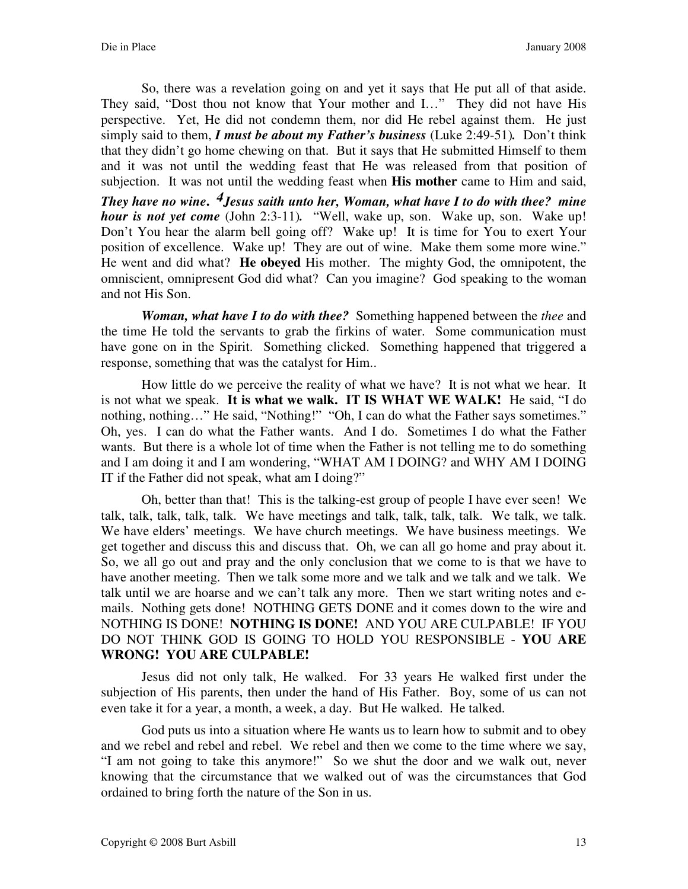So, there was a revelation going on and yet it says that He put all of that aside. They said, "Dost thou not know that Your mother and I..." They did not have His perspective. Yet, He did not condemn them, nor did He rebel against them. He just simply said to them, *I must be about my Father's business* (Luke 2:49-51)*.* Don't think that they didn't go home chewing on that. But it says that He submitted Himself to them and it was not until the wedding feast that He was released from that position of subjection. It was not until the wedding feast when **His mother** came to Him and said, *They have no wine***.**  *4Jesus saith unto her, Woman, what have I to do with thee? mine hour is not yet come* (John 2:3-11)*.* "Well, wake up, son. Wake up, son. Wake up! Don't You hear the alarm bell going off? Wake up! It is time for You to exert Your position of excellence. Wake up! They are out of wine. Make them some more wine." He went and did what? **He obeyed** His mother. The mighty God, the omnipotent, the omniscient, omnipresent God did what? Can you imagine? God speaking to the woman and not His Son.

*Woman, what have I to do with thee?* Something happened between the *thee* and the time He told the servants to grab the firkins of water. Some communication must have gone on in the Spirit. Something clicked. Something happened that triggered a response, something that was the catalyst for Him..

How little do we perceive the reality of what we have? It is not what we hear. It is not what we speak. **It is what we walk. IT IS WHAT WE WALK!** He said, "I do nothing, nothing…" He said, "Nothing!" "Oh, I can do what the Father says sometimes." Oh, yes. I can do what the Father wants. And I do. Sometimes I do what the Father wants. But there is a whole lot of time when the Father is not telling me to do something and I am doing it and I am wondering, "WHAT AM I DOING? and WHY AM I DOING IT if the Father did not speak, what am I doing?"

Oh, better than that! This is the talking-est group of people I have ever seen! We talk, talk, talk, talk, talk. We have meetings and talk, talk, talk, talk. We talk, we talk. We have elders' meetings. We have church meetings. We have business meetings. We get together and discuss this and discuss that. Oh, we can all go home and pray about it. So, we all go out and pray and the only conclusion that we come to is that we have to have another meeting. Then we talk some more and we talk and we talk and we talk. We talk until we are hoarse and we can't talk any more. Then we start writing notes and emails. Nothing gets done! NOTHING GETS DONE and it comes down to the wire and NOTHING IS DONE! **NOTHING IS DONE!** AND YOU ARE CULPABLE! IF YOU DO NOT THINK GOD IS GOING TO HOLD YOU RESPONSIBLE - **YOU ARE WRONG! YOU ARE CULPABLE!** 

Jesus did not only talk, He walked. For 33 years He walked first under the subjection of His parents, then under the hand of His Father. Boy, some of us can not even take it for a year, a month, a week, a day. But He walked. He talked.

God puts us into a situation where He wants us to learn how to submit and to obey and we rebel and rebel and rebel. We rebel and then we come to the time where we say, "I am not going to take this anymore!" So we shut the door and we walk out, never knowing that the circumstance that we walked out of was the circumstances that God ordained to bring forth the nature of the Son in us.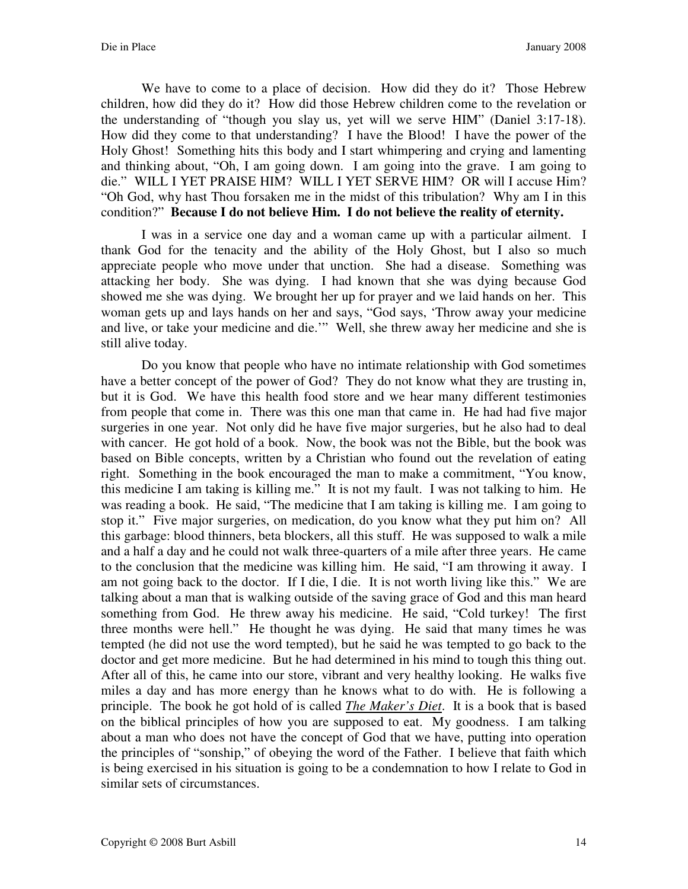We have to come to a place of decision. How did they do it? Those Hebrew children, how did they do it? How did those Hebrew children come to the revelation or the understanding of "though you slay us, yet will we serve HIM" (Daniel 3:17-18). How did they come to that understanding? I have the Blood! I have the power of the Holy Ghost! Something hits this body and I start whimpering and crying and lamenting and thinking about, "Oh, I am going down. I am going into the grave. I am going to die." WILL I YET PRAISE HIM? WILL I YET SERVE HIM? OR will I accuse Him? "Oh God, why hast Thou forsaken me in the midst of this tribulation? Why am I in this condition?" **Because I do not believe Him. I do not believe the reality of eternity.** 

I was in a service one day and a woman came up with a particular ailment. I thank God for the tenacity and the ability of the Holy Ghost, but I also so much appreciate people who move under that unction. She had a disease. Something was attacking her body. She was dying. I had known that she was dying because God showed me she was dying. We brought her up for prayer and we laid hands on her. This woman gets up and lays hands on her and says, "God says, 'Throw away your medicine and live, or take your medicine and die.'" Well, she threw away her medicine and she is still alive today.

Do you know that people who have no intimate relationship with God sometimes have a better concept of the power of God? They do not know what they are trusting in, but it is God. We have this health food store and we hear many different testimonies from people that come in. There was this one man that came in. He had had five major surgeries in one year. Not only did he have five major surgeries, but he also had to deal with cancer. He got hold of a book. Now, the book was not the Bible, but the book was based on Bible concepts, written by a Christian who found out the revelation of eating right. Something in the book encouraged the man to make a commitment, "You know, this medicine I am taking is killing me." It is not my fault. I was not talking to him. He was reading a book. He said, "The medicine that I am taking is killing me. I am going to stop it." Five major surgeries, on medication, do you know what they put him on? All this garbage: blood thinners, beta blockers, all this stuff. He was supposed to walk a mile and a half a day and he could not walk three-quarters of a mile after three years. He came to the conclusion that the medicine was killing him. He said, "I am throwing it away. I am not going back to the doctor. If I die, I die. It is not worth living like this." We are talking about a man that is walking outside of the saving grace of God and this man heard something from God. He threw away his medicine. He said, "Cold turkey! The first three months were hell." He thought he was dying. He said that many times he was tempted (he did not use the word tempted), but he said he was tempted to go back to the doctor and get more medicine. But he had determined in his mind to tough this thing out. After all of this, he came into our store, vibrant and very healthy looking. He walks five miles a day and has more energy than he knows what to do with. He is following a principle. The book he got hold of is called *The Maker's Diet*. It is a book that is based on the biblical principles of how you are supposed to eat. My goodness. I am talking about a man who does not have the concept of God that we have, putting into operation the principles of "sonship," of obeying the word of the Father. I believe that faith which is being exercised in his situation is going to be a condemnation to how I relate to God in similar sets of circumstances.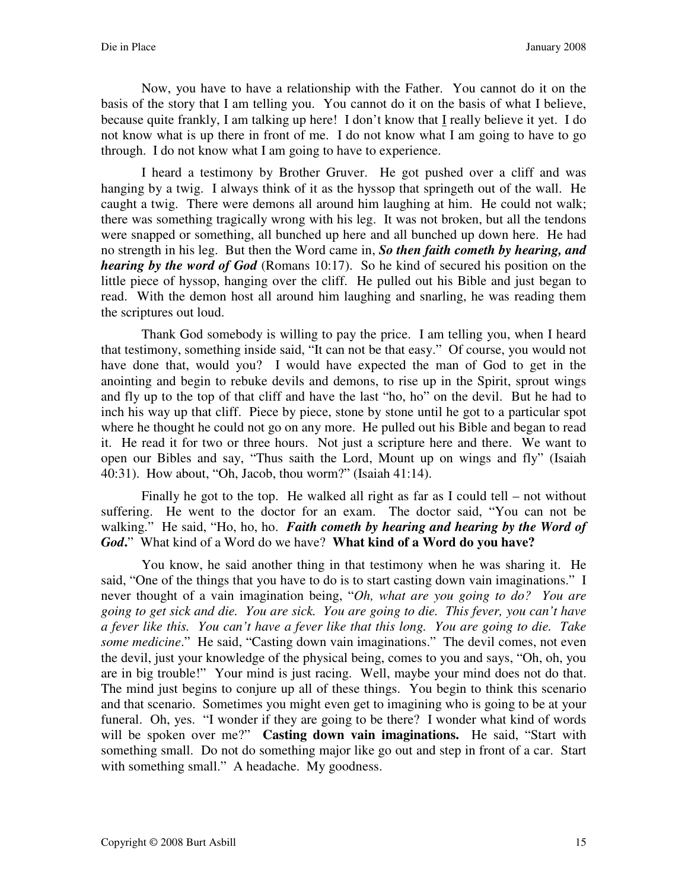Now, you have to have a relationship with the Father. You cannot do it on the basis of the story that I am telling you. You cannot do it on the basis of what I believe, because quite frankly, I am talking up here! I don't know that I really believe it yet. I do not know what is up there in front of me. I do not know what I am going to have to go through. I do not know what I am going to have to experience.

I heard a testimony by Brother Gruver. He got pushed over a cliff and was hanging by a twig. I always think of it as the hyssop that springeth out of the wall. He caught a twig. There were demons all around him laughing at him. He could not walk; there was something tragically wrong with his leg. It was not broken, but all the tendons were snapped or something, all bunched up here and all bunched up down here. He had no strength in his leg. But then the Word came in, *So then faith cometh by hearing, and hearing by the word of God* (Romans 10:17). So he kind of secured his position on the little piece of hyssop, hanging over the cliff. He pulled out his Bible and just began to read. With the demon host all around him laughing and snarling, he was reading them the scriptures out loud.

Thank God somebody is willing to pay the price. I am telling you, when I heard that testimony, something inside said, "It can not be that easy." Of course, you would not have done that, would you? I would have expected the man of God to get in the anointing and begin to rebuke devils and demons, to rise up in the Spirit, sprout wings and fly up to the top of that cliff and have the last "ho, ho" on the devil. But he had to inch his way up that cliff. Piece by piece, stone by stone until he got to a particular spot where he thought he could not go on any more. He pulled out his Bible and began to read it. He read it for two or three hours. Not just a scripture here and there. We want to open our Bibles and say, "Thus saith the Lord, Mount up on wings and fly" (Isaiah 40:31). How about, "Oh, Jacob, thou worm?" (Isaiah 41:14).

Finally he got to the top. He walked all right as far as I could tell – not without suffering. He went to the doctor for an exam. The doctor said, "You can not be walking." He said, "Ho, ho, ho. *Faith cometh by hearing and hearing by the Word of God***.**" What kind of a Word do we have? **What kind of a Word do you have?** 

You know, he said another thing in that testimony when he was sharing it. He said, "One of the things that you have to do is to start casting down vain imaginations." I never thought of a vain imagination being, "*Oh, what are you going to do? You are going to get sick and die. You are sick. You are going to die. This fever, you can't have a fever like this. You can't have a fever like that this long. You are going to die. Take some medicine*." He said, "Casting down vain imaginations." The devil comes, not even the devil, just your knowledge of the physical being, comes to you and says, "Oh, oh, you are in big trouble!" Your mind is just racing. Well, maybe your mind does not do that. The mind just begins to conjure up all of these things. You begin to think this scenario and that scenario. Sometimes you might even get to imagining who is going to be at your funeral. Oh, yes. "I wonder if they are going to be there? I wonder what kind of words will be spoken over me?" **Casting down vain imaginations.** He said, "Start with something small. Do not do something major like go out and step in front of a car. Start with something small." A headache. My goodness.